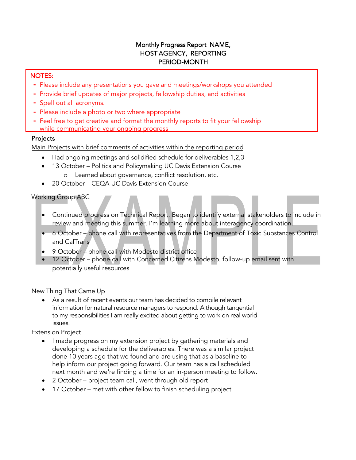# Monthly Progress Report NAME, HOST AGENCY, REPORTING PERIOD-MONTH

#### NOTES:

- **-** Please include any presentations you gave and meetings/workshops you attended
- **-** Provide brief updates of major projects, fellowship duties, and activities
- **-** Spell out all acronyms.
- **-** Please include a photo or two where appropriate
- **-** Feel free to get creative and format the monthly reports to fit your fellowship while communicating your ongoing progress

## Projects

Main Projects with brief comments of activities within the reporting period

- Had ongoing meetings and solidified schedule for deliverables 1,2,3
- 13 October Politics and Policymaking UC Davis Extension Course o Learned about governance, conflict resolution, etc.
- 20 October CEQA UC Davis Extension Course

## Working Group ABC

- Continued progress on Technical Report. Began to identify external stakeholders to include in review and meeting this summer. I'm learning more about interagency coordination.
- 6 October phone call with representatives from the Department of Toxic Substances Control and CalTrans
- 9 October phone call with Modesto district office
- 12 October phone call with Concerned Citizens Modesto, follow-up email sent with potentially useful resources

New Thing That Came Up

As a result of recent events our team has decided to compile relevant information for natural resource managers to respond. Although tangential to my responsibilities I am really excited about getting to work on real world issues.

Extension Project

- I made progress on my extension project by gathering materials and developing a schedule for the deliverables. There was a similar project done 10 years ago that we found and are using that as a baseline to help inform our project going forward. Our team has a call scheduled next month and we're finding a time for an in-person meeting to follow.
- 2 October project team call, went through old report
- 17 October met with other fellow to finish scheduling project